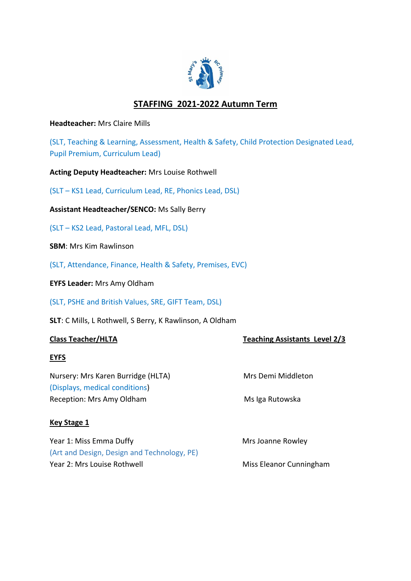

# **STAFFING 2021-2022 Autumn Term**

**Headteacher:** Mrs Claire Mills

(SLT, Teaching & Learning, Assessment, Health & Safety, Child Protection Designated Lead, Pupil Premium, Curriculum Lead)

**Acting Deputy Headteacher:** Mrs Louise Rothwell

(SLT – KS1 Lead, Curriculum Lead, RE, Phonics Lead, DSL)

**Assistant Headteacher/SENCO:** Ms Sally Berry

(SLT – KS2 Lead, Pastoral Lead, MFL, DSL)

**SBM**: Mrs Kim Rawlinson

(SLT, Attendance, Finance, Health & Safety, Premises, EVC)

**EYFS Leader:** Mrs Amy Oldham

(SLT, PSHE and British Values, SRE, GIFT Team, DSL)

**SLT**: C Mills, L Rothwell, S Berry, K Rawlinson, A Oldham

# **Class Teacher/HLTA** Teaching Assistants Level 2/3

# **EYFS**

Nursery: Mrs Karen Burridge (HLTA) Mrs Demi Middleton (Displays, medical conditions) Reception: Mrs Amy Oldham Ms Iga Rutowska

### **Key Stage 1**

Year 1: Miss Emma Duffy Mrs Joanne Rowley (Art and Design, Design and Technology, PE) Year 2: Mrs Louise Rothwell Miss Eleanor Cunningham